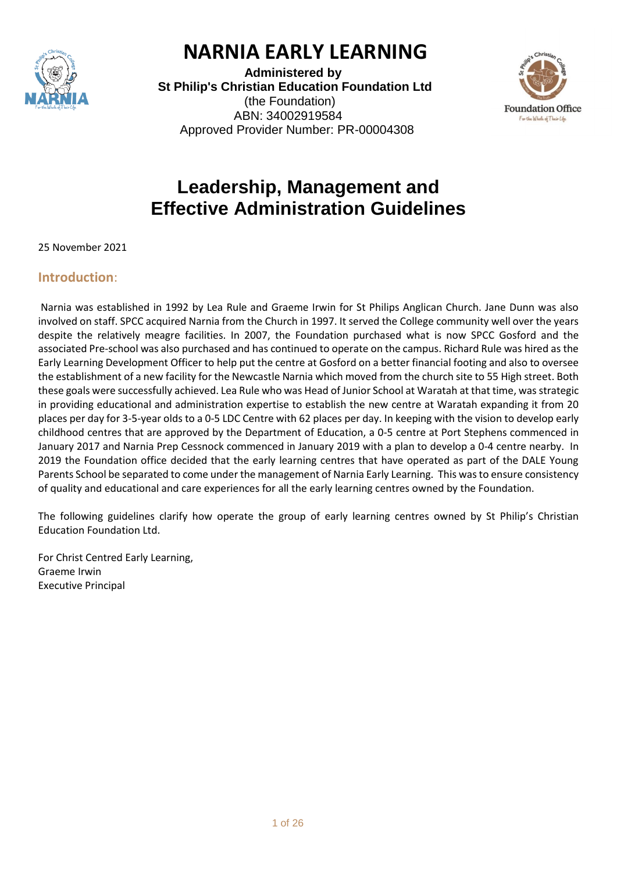

# **NARNIA EARLY LEARNING**

 **Administered by St Philip's Christian Education Foundation Ltd** (the Foundation) ABN: 34002919584 Approved Provider Number: PR-00004308



# **Leadership, Management and Effective Administration Guidelines**

25 November 2021

### **Introduction**:

Narnia was established in 1992 by Lea Rule and Graeme Irwin for St Philips Anglican Church. Jane Dunn was also involved on staff. SPCC acquired Narnia from the Church in 1997. It served the College community well over the years despite the relatively meagre facilities. In 2007, the Foundation purchased what is now SPCC Gosford and the associated Pre-school was also purchased and has continued to operate on the campus. Richard Rule was hired as the Early Learning Development Officer to help put the centre at Gosford on a better financial footing and also to oversee the establishment of a new facility for the Newcastle Narnia which moved from the church site to 55 High street. Both these goals were successfully achieved. Lea Rule who was Head of Junior School at Waratah at that time, was strategic in providing educational and administration expertise to establish the new centre at Waratah expanding it from 20 places per day for 3-5-year olds to a 0-5 LDC Centre with 62 places per day. In keeping with the vision to develop early childhood centres that are approved by the Department of Education, a 0-5 centre at Port Stephens commenced in January 2017 and Narnia Prep Cessnock commenced in January 2019 with a plan to develop a 0-4 centre nearby. In 2019 the Foundation office decided that the early learning centres that have operated as part of the DALE Young Parents School be separated to come under the management of Narnia Early Learning. This was to ensure consistency of quality and educational and care experiences for all the early learning centres owned by the Foundation.

The following guidelines clarify how operate the group of early learning centres owned by St Philip's Christian Education Foundation Ltd.

For Christ Centred Early Learning, Graeme Irwin Executive Principal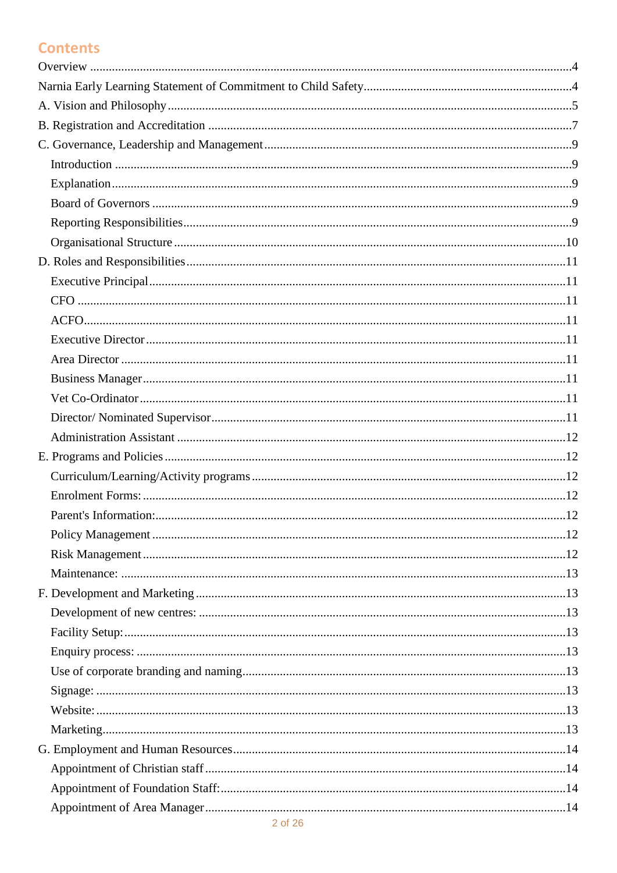# **Contents**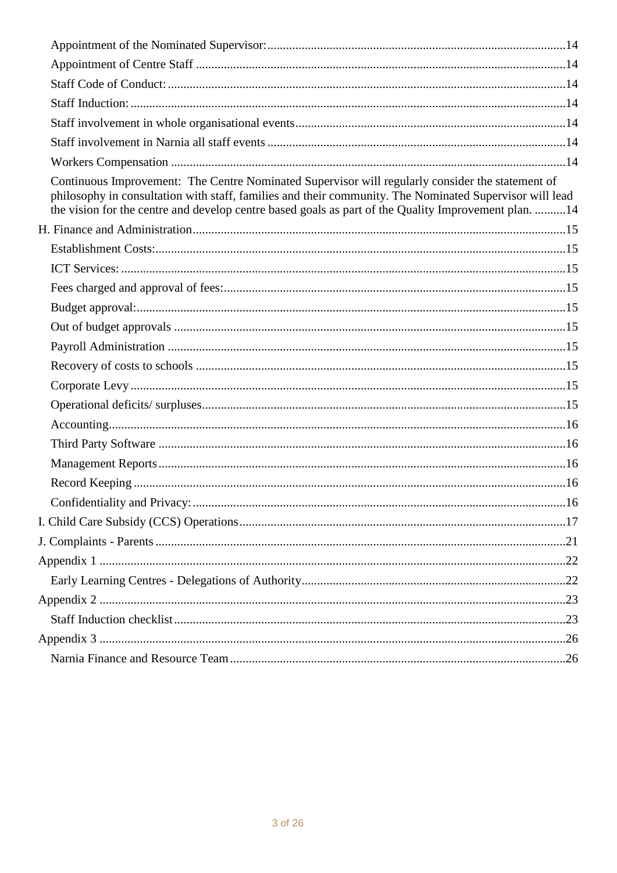| Continuous Improvement: The Centre Nominated Supervisor will regularly consider the statement of<br>philosophy in consultation with staff, families and their community. The Nominated Supervisor will lead<br>the vision for the centre and develop centre based goals as part of the Quality Improvement plan. 14 |  |
|---------------------------------------------------------------------------------------------------------------------------------------------------------------------------------------------------------------------------------------------------------------------------------------------------------------------|--|
|                                                                                                                                                                                                                                                                                                                     |  |
|                                                                                                                                                                                                                                                                                                                     |  |
|                                                                                                                                                                                                                                                                                                                     |  |
|                                                                                                                                                                                                                                                                                                                     |  |
|                                                                                                                                                                                                                                                                                                                     |  |
|                                                                                                                                                                                                                                                                                                                     |  |
|                                                                                                                                                                                                                                                                                                                     |  |
|                                                                                                                                                                                                                                                                                                                     |  |
|                                                                                                                                                                                                                                                                                                                     |  |
|                                                                                                                                                                                                                                                                                                                     |  |
|                                                                                                                                                                                                                                                                                                                     |  |
|                                                                                                                                                                                                                                                                                                                     |  |
|                                                                                                                                                                                                                                                                                                                     |  |
|                                                                                                                                                                                                                                                                                                                     |  |
|                                                                                                                                                                                                                                                                                                                     |  |
|                                                                                                                                                                                                                                                                                                                     |  |
|                                                                                                                                                                                                                                                                                                                     |  |
|                                                                                                                                                                                                                                                                                                                     |  |
|                                                                                                                                                                                                                                                                                                                     |  |
|                                                                                                                                                                                                                                                                                                                     |  |
|                                                                                                                                                                                                                                                                                                                     |  |
|                                                                                                                                                                                                                                                                                                                     |  |
|                                                                                                                                                                                                                                                                                                                     |  |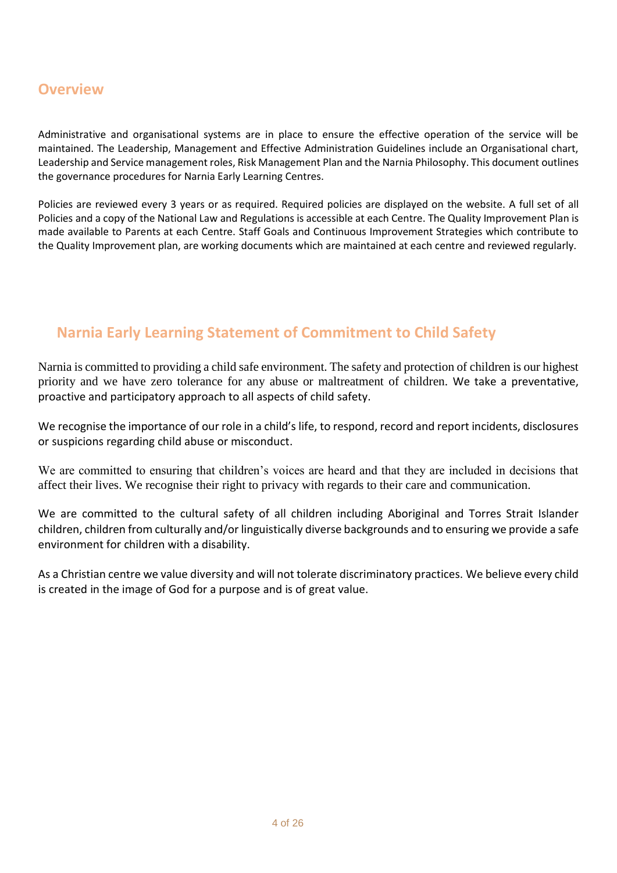## <span id="page-3-0"></span>**Overview**

Administrative and organisational systems are in place to ensure the effective operation of the service will be maintained. The Leadership, Management and Effective Administration Guidelines include an Organisational chart, Leadership and Service management roles, Risk Management Plan and the Narnia Philosophy. This document outlines the governance procedures for Narnia Early Learning Centres.

Policies are reviewed every 3 years or as required. Required policies are displayed on the website. A full set of all Policies and a copy of the National Law and Regulations is accessible at each Centre. The Quality Improvement Plan is made available to Parents at each Centre. Staff Goals and Continuous Improvement Strategies which contribute to the Quality Improvement plan, are working documents which are maintained at each centre and reviewed regularly.

### <span id="page-3-1"></span> **Narnia Early Learning Statement of Commitment to Child Safety**

Narnia is committed to providing a child safe environment. The safety and protection of children is our highest priority and we have zero tolerance for any abuse or maltreatment of children. We take a preventative, proactive and participatory approach to all aspects of child safety.

We recognise the importance of our role in a child's life, to respond, record and report incidents, disclosures or suspicions regarding child abuse or misconduct.

We are committed to ensuring that children's voices are heard and that they are included in decisions that affect their lives. We recognise their right to privacy with regards to their care and communication.

We are committed to the cultural safety of all children including Aboriginal and Torres Strait Islander children, children from culturally and/or linguistically diverse backgrounds and to ensuring we provide a safe environment for children with a disability.

As a Christian centre we value diversity and will not tolerate discriminatory practices. We believe every child is created in the image of God for a purpose and is of great value.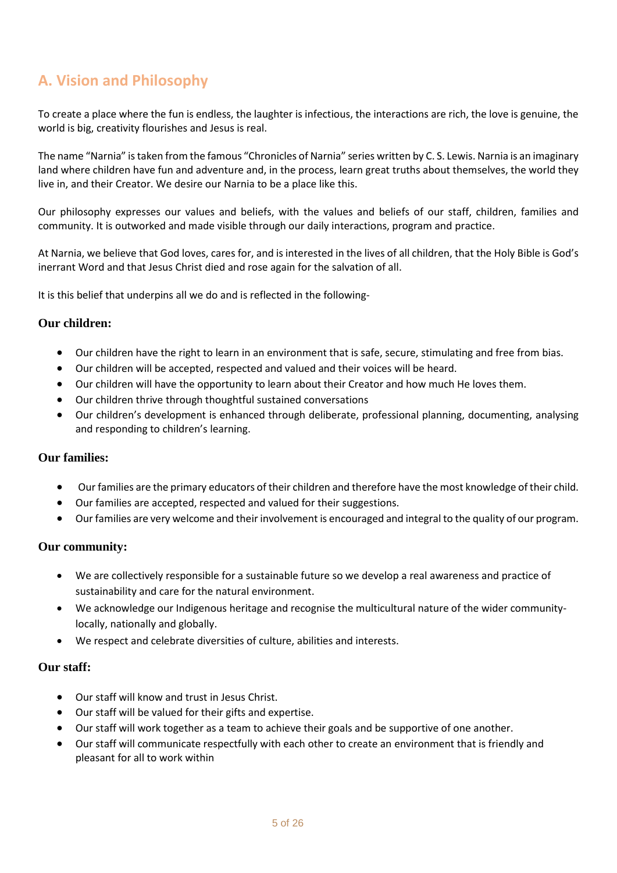# <span id="page-4-0"></span>**A. Vision and Philosophy**

To create a place where the fun is endless, the laughter is infectious, the interactions are rich, the love is genuine, the world is big, creativity flourishes and Jesus is real.

The name "Narnia" is taken from the famous "Chronicles of Narnia" series written by C. S. Lewis. Narnia is an imaginary land where children have fun and adventure and, in the process, learn great truths about themselves, the world they live in, and their Creator. We desire our Narnia to be a place like this.

Our philosophy expresses our values and beliefs, with the values and beliefs of our staff, children, families and community. It is outworked and made visible through our daily interactions, program and practice.

At Narnia, we believe that God loves, cares for, and is interested in the lives of all children, that the Holy Bible is God's inerrant Word and that Jesus Christ died and rose again for the salvation of all.

It is this belief that underpins all we do and is reflected in the following-

#### **Our children:**

- Our children have the right to learn in an environment that is safe, secure, stimulating and free from bias.
- Our children will be accepted, respected and valued and their voices will be heard.
- Our children will have the opportunity to learn about their Creator and how much He loves them.
- Our children thrive through thoughtful sustained conversations
- Our children's development is enhanced through deliberate, professional planning, documenting, analysing and responding to children's learning.

#### **Our families:**

- Our families are the primary educators of their children and therefore have the most knowledge of their child.
- Our families are accepted, respected and valued for their suggestions.
- Our families are very welcome and their involvement is encouraged and integral to the quality of our program.

#### **Our community:**

- We are collectively responsible for a sustainable future so we develop a real awareness and practice of sustainability and care for the natural environment.
- We acknowledge our Indigenous heritage and recognise the multicultural nature of the wider communitylocally, nationally and globally.
- We respect and celebrate diversities of culture, abilities and interests.

#### **Our staff:**

- Our staff will know and trust in Jesus Christ.
- Our staff will be valued for their gifts and expertise.
- Our staff will work together as a team to achieve their goals and be supportive of one another.
- Our staff will communicate respectfully with each other to create an environment that is friendly and pleasant for all to work within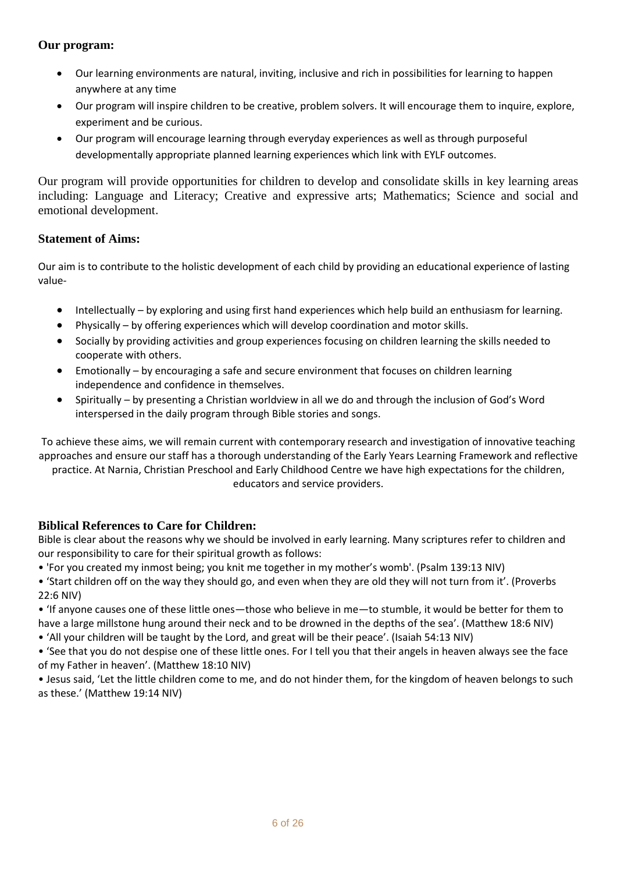### **Our program:**

- Our learning environments are natural, inviting, inclusive and rich in possibilities for learning to happen anywhere at any time
- Our program will inspire children to be creative, problem solvers. It will encourage them to inquire, explore, experiment and be curious.
- Our program will encourage learning through everyday experiences as well as through purposeful developmentally appropriate planned learning experiences which link with EYLF outcomes.

Our program will provide opportunities for children to develop and consolidate skills in key learning areas including: Language and Literacy; Creative and expressive arts; Mathematics; Science and social and emotional development.

### **Statement of Aims:**

Our aim is to contribute to the holistic development of each child by providing an educational experience of lasting value-

- Intellectually by exploring and using first hand experiences which help build an enthusiasm for learning.
- Physically by offering experiences which will develop coordination and motor skills.
- Socially by providing activities and group experiences focusing on children learning the skills needed to cooperate with others.
- Emotionally by encouraging a safe and secure environment that focuses on children learning independence and confidence in themselves.
- Spiritually by presenting a Christian worldview in all we do and through the inclusion of God's Word interspersed in the daily program through Bible stories and songs.

To achieve these aims, we will remain current with contemporary research and investigation of innovative teaching approaches and ensure our staff has a thorough understanding of the Early Years Learning Framework and reflective

practice. At Narnia, Christian Preschool and Early Childhood Centre we have high expectations for the children, educators and service providers.

### **Biblical References to Care for Children:**

Bible is clear about the reasons why we should be involved in early learning. Many scriptures refer to children and our responsibility to care for their spiritual growth as follows:

- 'For you created my inmost being; you knit me together in my mother's womb'. (Psalm 139:13 NIV)
- 'Start children off on the way they should go, and even when they are old they will not turn from it'. (Proverbs 22:6 NIV)
- 'If anyone causes one of these little ones—those who believe in me—to stumble, it would be better for them to have a large millstone hung around their neck and to be drowned in the depths of the sea'. (Matthew 18:6 NIV)
- 'All your children will be taught by the Lord, and great will be their peace'. (Isaiah 54:13 NIV)

• 'See that you do not despise one of these little ones. For I tell you that their angels in heaven always see the face of my Father in heaven'. (Matthew 18:10 NIV)

• Jesus said, 'Let the little children come to me, and do not hinder them, for the kingdom of heaven belongs to such as these.' (Matthew 19:14 NIV)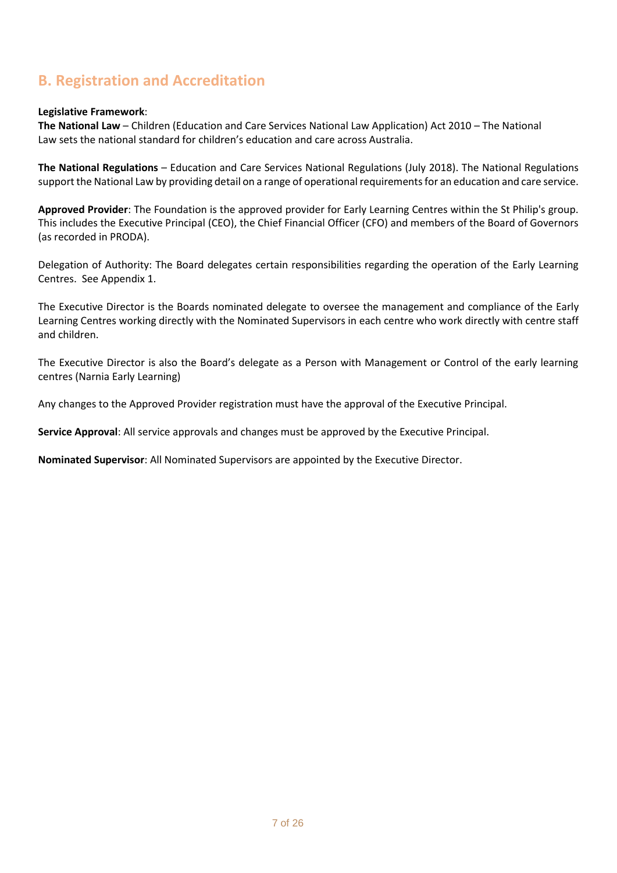## <span id="page-6-0"></span>**B. Registration and Accreditation**

#### **Legislative Framework**:

**The National Law** – Children (Education and Care Services National Law Application) Act 2010 – The National Law sets the national standard for children's education and care across Australia.

**The National Regulations** – Education and Care Services National Regulations (July 2018). The National Regulations support the National Law by providing detail on a range of operational requirements for an education and care service.

**Approved Provider**: The Foundation is the approved provider for Early Learning Centres within the St Philip's group. This includes the Executive Principal (CEO), the Chief Financial Officer (CFO) and members of the Board of Governors (as recorded in PRODA).

Delegation of Authority: The Board delegates certain responsibilities regarding the operation of the Early Learning Centres. See Appendix 1.

The Executive Director is the Boards nominated delegate to oversee the management and compliance of the Early Learning Centres working directly with the Nominated Supervisors in each centre who work directly with centre staff and children.

The Executive Director is also the Board's delegate as a Person with Management or Control of the early learning centres (Narnia Early Learning)

Any changes to the Approved Provider registration must have the approval of the Executive Principal.

**Service Approval**: All service approvals and changes must be approved by the Executive Principal.

**Nominated Supervisor**: All Nominated Supervisors are appointed by the Executive Director.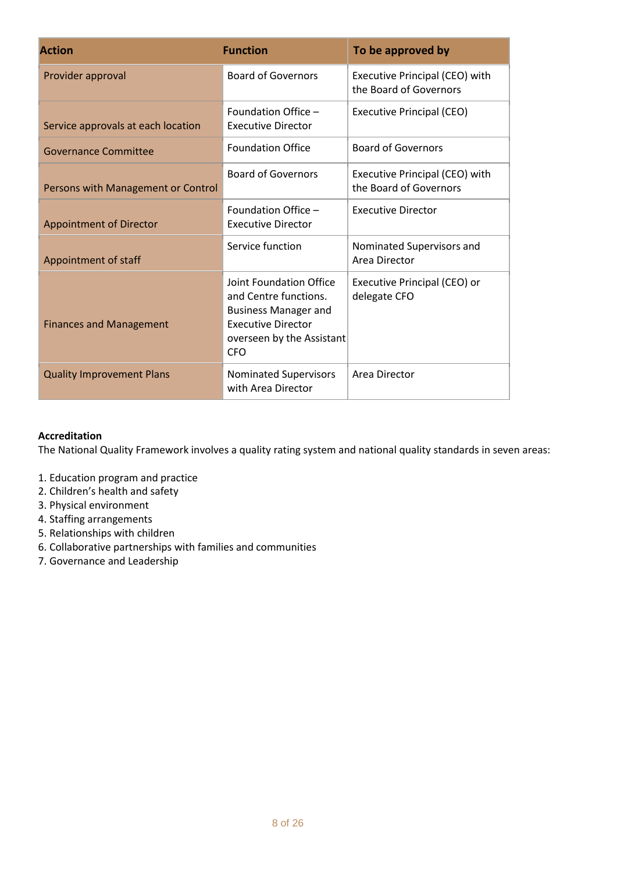| <b>Action</b>                      | <b>Function</b>                                                                                                                                         | To be approved by                                        |
|------------------------------------|---------------------------------------------------------------------------------------------------------------------------------------------------------|----------------------------------------------------------|
| Provider approval                  | <b>Board of Governors</b>                                                                                                                               | Executive Principal (CEO) with<br>the Board of Governors |
| Service approvals at each location | Foundation Office -<br><b>Executive Director</b>                                                                                                        | <b>Executive Principal (CEO)</b>                         |
| <b>Governance Committee</b>        | <b>Foundation Office</b>                                                                                                                                | <b>Board of Governors</b>                                |
| Persons with Management or Control | <b>Board of Governors</b>                                                                                                                               | Executive Principal (CEO) with<br>the Board of Governors |
| <b>Appointment of Director</b>     | Foundation Office -<br><b>Executive Director</b>                                                                                                        | <b>Executive Director</b>                                |
| Appointment of staff               | Service function                                                                                                                                        | Nominated Supervisors and<br>Area Director               |
| <b>Finances and Management</b>     | Joint Foundation Office<br>and Centre functions.<br><b>Business Manager and</b><br><b>Executive Director</b><br>overseen by the Assistant<br><b>CFO</b> | Executive Principal (CEO) or<br>delegate CFO             |
| <b>Quality Improvement Plans</b>   | Nominated Supervisors<br>with Area Director                                                                                                             | Area Director                                            |

### **Accreditation**

The National Quality Framework involves a quality rating system and national quality standards in seven areas:

- 1. Education program and practice
- 2. Children's health and safety
- 3. Physical environment
- 4. Staffing arrangements
- 5. Relationships with children
- 6. Collaborative partnerships with families and communities
- 7. Governance and Leadership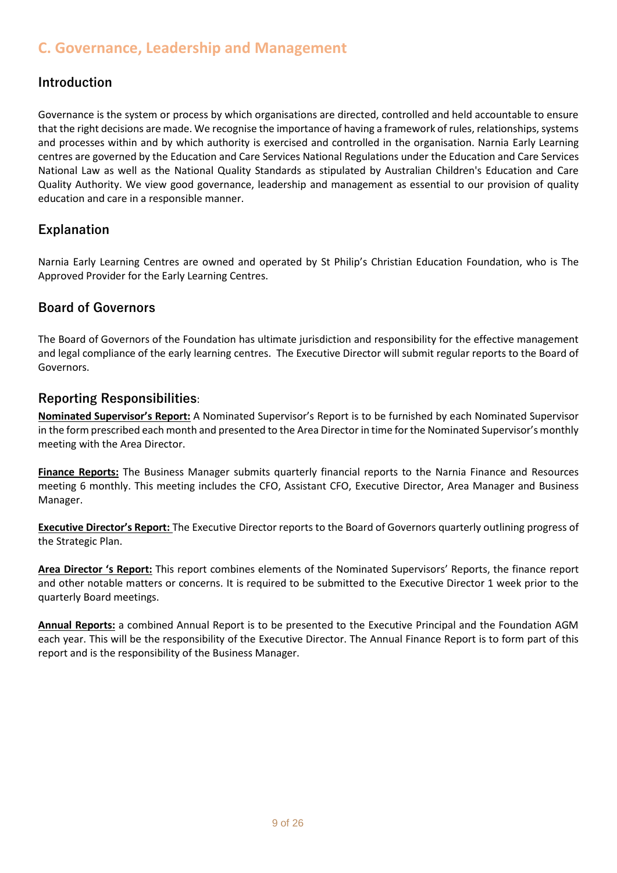### <span id="page-8-0"></span>**C. Governance, Leadership and Management**

### <span id="page-8-1"></span>**Introduction**

Governance is the system or process by which organisations are directed, controlled and held accountable to ensure that the right decisions are made. We recognise the importance of having a framework of rules, relationships, systems and processes within and by which authority is exercised and controlled in the organisation. Narnia Early Learning centres are governed by the Education and Care Services National Regulations under the Education and Care Services National Law as well as the National Quality Standards as stipulated by Australian Children's Education and Care Quality Authority. We view good governance, leadership and management as essential to our provision of quality education and care in a responsible manner.

### <span id="page-8-2"></span>**Explanation**

Narnia Early Learning Centres are owned and operated by St Philip's Christian Education Foundation, who is The Approved Provider for the Early Learning Centres.

### <span id="page-8-3"></span>**Board of Governors**

The Board of Governors of the Foundation has ultimate jurisdiction and responsibility for the effective management and legal compliance of the early learning centres. The Executive Director will submit regular reports to the Board of Governors.

### <span id="page-8-4"></span>**Reporting Responsibilities**:

**Nominated Supervisor's Report:** A Nominated Supervisor's Report is to be furnished by each Nominated Supervisor in the form prescribed each month and presented to the Area Director in time for the Nominated Supervisor's monthly meeting with the Area Director.

**Finance Reports:** The Business Manager submits quarterly financial reports to the Narnia Finance and Resources meeting 6 monthly. This meeting includes the CFO, Assistant CFO, Executive Director, Area Manager and Business Manager.

**Executive Director's Report:** The Executive Director reports to the Board of Governors quarterly outlining progress of the Strategic Plan.

**Area Director 's Report:** This report combines elements of the Nominated Supervisors' Reports, the finance report and other notable matters or concerns. It is required to be submitted to the Executive Director 1 week prior to the quarterly Board meetings.

**Annual Reports:** a combined Annual Report is to be presented to the Executive Principal and the Foundation AGM each year. This will be the responsibility of the Executive Director. The Annual Finance Report is to form part of this report and is the responsibility of the Business Manager.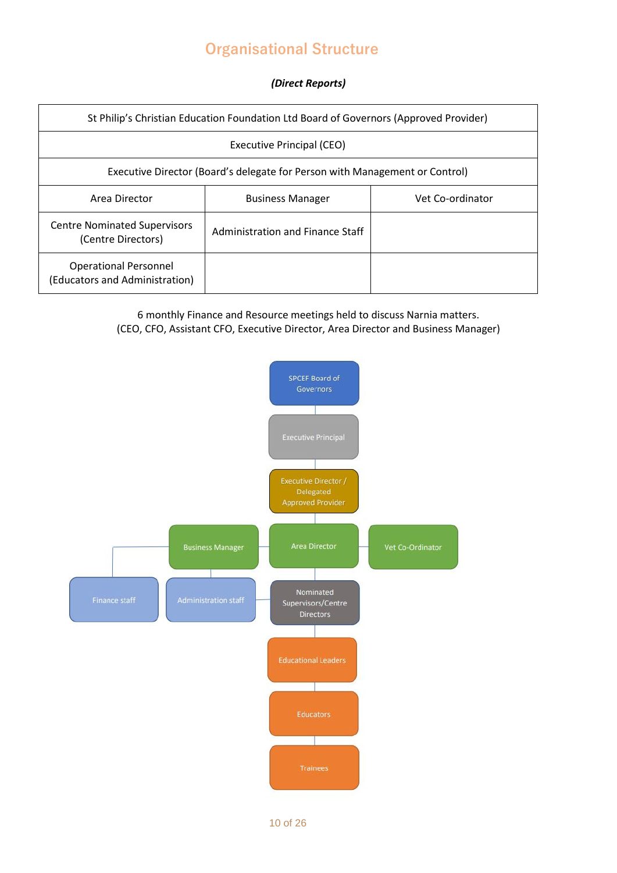# <span id="page-9-0"></span> **Organisational Structure**

#### *(Direct Reports)*

| St Philip's Christian Education Foundation Ltd Board of Governors (Approved Provider) |                                             |  |  |
|---------------------------------------------------------------------------------------|---------------------------------------------|--|--|
| Executive Principal (CEO)                                                             |                                             |  |  |
| Executive Director (Board's delegate for Person with Management or Control)           |                                             |  |  |
| Area Director                                                                         | Vet Co-ordinator<br><b>Business Manager</b> |  |  |
| <b>Centre Nominated Supervisors</b><br>(Centre Directors)                             | Administration and Finance Staff            |  |  |
| <b>Operational Personnel</b><br>(Educators and Administration)                        |                                             |  |  |

### 6 monthly Finance and Resource meetings held to discuss Narnia matters. (CEO, CFO, Assistant CFO, Executive Director, Area Director and Business Manager)

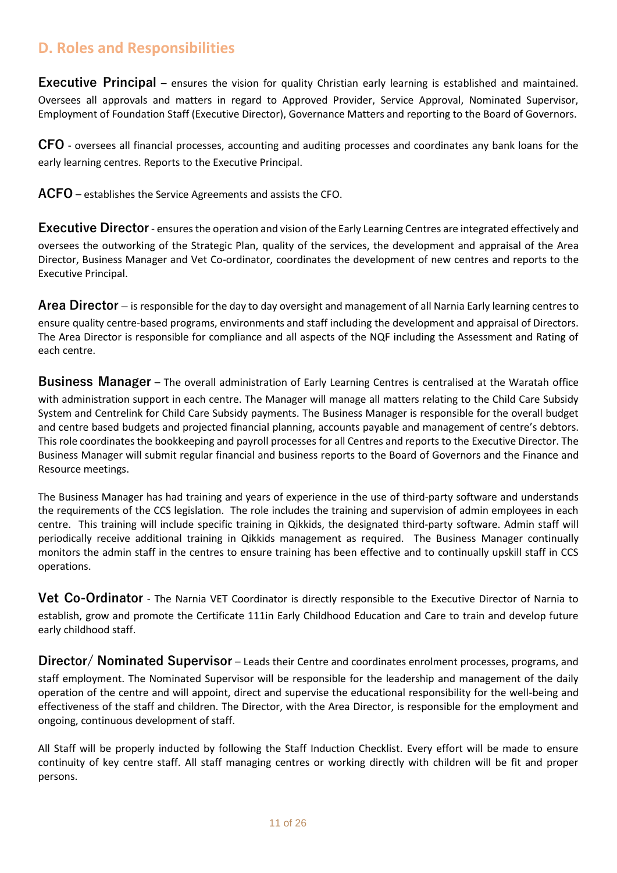### <span id="page-10-0"></span>**D. Roles and Responsibilities**

<span id="page-10-1"></span>**Executive Principal** – ensures the vision for quality Christian early learning is established and maintained. Oversees all approvals and matters in regard to Approved Provider, Service Approval, Nominated Supervisor, Employment of Foundation Staff (Executive Director), Governance Matters and reporting to the Board of Governors.

<span id="page-10-2"></span>**CFO** - oversees all financial processes, accounting and auditing processes and coordinates any bank loans for the early learning centres. Reports to the Executive Principal.

<span id="page-10-3"></span>**ACFO** – establishes the Service Agreements and assists the CFO.

<span id="page-10-4"></span>**Executive Director**- ensures the operation and vision of the Early Learning Centres are integrated effectively and oversees the outworking of the Strategic Plan, quality of the services, the development and appraisal of the Area Director, Business Manager and Vet Co-ordinator, coordinates the development of new centres and reports to the Executive Principal.

<span id="page-10-5"></span>**Area Director** – is responsible for the day to day oversight and management of all Narnia Early learning centres to ensure quality centre-based programs, environments and staff including the development and appraisal of Directors. The Area Director is responsible for compliance and all aspects of the NQF including the Assessment and Rating of each centre.

<span id="page-10-6"></span>**Business Manager** – The overall administration of Early Learning Centres is centralised at the Waratah office with administration support in each centre. The Manager will manage all matters relating to the Child Care Subsidy System and Centrelink for Child Care Subsidy payments. The Business Manager is responsible for the overall budget and centre based budgets and projected financial planning, accounts payable and management of centre's debtors. This role coordinates the bookkeeping and payroll processes for all Centres and reports to the Executive Director. The Business Manager will submit regular financial and business reports to the Board of Governors and the Finance and Resource meetings.

The Business Manager has had training and years of experience in the use of third-party software and understands the requirements of the CCS legislation. The role includes the training and supervision of admin employees in each centre. This training will include specific training in Qikkids, the designated third-party software. Admin staff will periodically receive additional training in Qikkids management as required. The Business Manager continually monitors the admin staff in the centres to ensure training has been effective and to continually upskill staff in CCS operations.

<span id="page-10-7"></span>**Vet Co-Ordinator** - The Narnia VET Coordinator is directly responsible to the Executive Director of Narnia to establish, grow and promote the Certificate 111in Early Childhood Education and Care to train and develop future early childhood staff.

<span id="page-10-8"></span>**Director/ Nominated Supervisor** – Leads their Centre and coordinates enrolment processes, programs, and staff employment. The Nominated Supervisor will be responsible for the leadership and management of the daily operation of the centre and will appoint, direct and supervise the educational responsibility for the well-being and effectiveness of the staff and children. The Director, with the Area Director, is responsible for the employment and ongoing, continuous development of staff.

All Staff will be properly inducted by following the Staff Induction Checklist. Every effort will be made to ensure continuity of key centre staff. All staff managing centres or working directly with children will be fit and proper persons.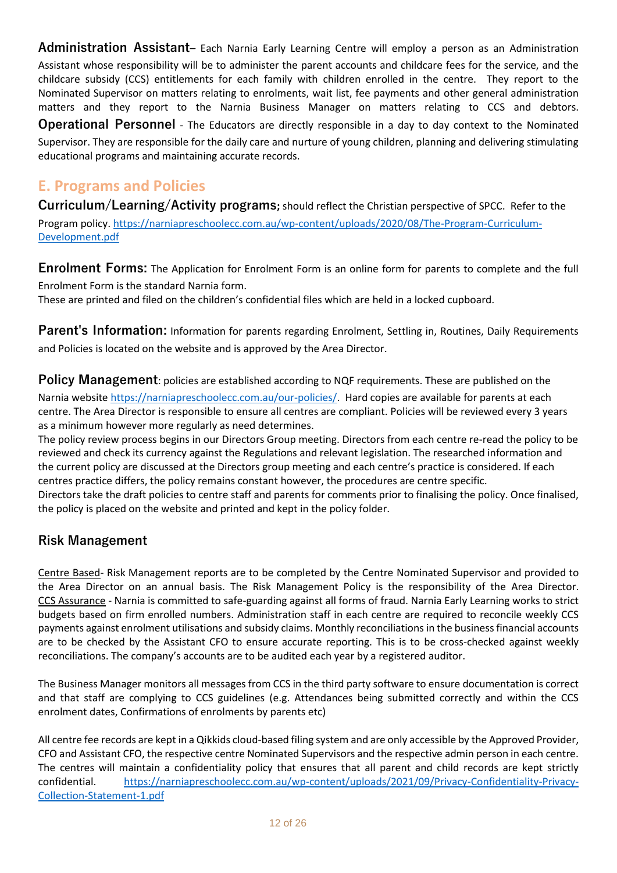<span id="page-11-0"></span>**Administration Assistant**– Each Narnia Early Learning Centre will employ a person as an Administration Assistant whose responsibility will be to administer the parent accounts and childcare fees for the service, and the childcare subsidy (CCS) entitlements for each family with children enrolled in the centre. They report to the Nominated Supervisor on matters relating to enrolments, wait list, fee payments and other general administration matters and they report to the Narnia Business Manager on matters relating to CCS and debtors. **Operational Personnel** - The Educators are directly responsible in a day to day context to the Nominated Supervisor. They are responsible for the daily care and nurture of young children, planning and delivering stimulating educational programs and maintaining accurate records.

# <span id="page-11-1"></span>**E. Programs and Policies**

<span id="page-11-2"></span>**Curriculum/Learning/Activity programs;** should reflect the Christian perspective of SPCC. Refer to the Program policy. [https://narniapreschoolecc.com.au/wp-content/uploads/2020/08/The-Program-Curriculum-](https://narniapreschoolecc.com.au/wp-content/uploads/2020/08/The-Program-Curriculum-Development.pdf)[Development.pdf](https://narniapreschoolecc.com.au/wp-content/uploads/2020/08/The-Program-Curriculum-Development.pdf)

<span id="page-11-3"></span>**Enrolment Forms:** The Application for Enrolment Form is an online form for parents to complete and the full Enrolment Form is the standard Narnia form.

These are printed and filed on the children's confidential files which are held in a locked cupboard.

<span id="page-11-4"></span>**Parent's Information:** Information for parents regarding Enrolment, Settling in, Routines, Daily Requirements and Policies is located on the website and is approved by the Area Director.

<span id="page-11-5"></span>**Policy Management**: policies are established according to NQF requirements. These are published on the Narnia website [https://narniapreschoolecc.com.au/our-policies/.](https://narniapreschoolecc.com.au/our-policies/) Hard copies are available for parents at each centre. The Area Director is responsible to ensure all centres are compliant. Policies will be reviewed every 3 years as a minimum however more regularly as need determines.

The policy review process begins in our Directors Group meeting. Directors from each centre re-read the policy to be reviewed and check its currency against the Regulations and relevant legislation. The researched information and the current policy are discussed at the Directors group meeting and each centre's practice is considered. If each centres practice differs, the policy remains constant however, the procedures are centre specific. Directors take the draft policies to centre staff and parents for comments prior to finalising the policy. Once finalised, the policy is placed on the website and printed and kept in the policy folder.

### <span id="page-11-6"></span>**Risk Management**

Centre Based- Risk Management reports are to be completed by the Centre Nominated Supervisor and provided to the Area Director on an annual basis. The Risk Management Policy is the responsibility of the Area Director. CCS Assurance - Narnia is committed to safe-guarding against all forms of fraud. Narnia Early Learning works to strict budgets based on firm enrolled numbers. Administration staff in each centre are required to reconcile weekly CCS payments against enrolment utilisations and subsidy claims. Monthly reconciliations in the business financial accounts are to be checked by the Assistant CFO to ensure accurate reporting. This is to be cross-checked against weekly reconciliations. The company's accounts are to be audited each year by a registered auditor.

The Business Manager monitors all messages from CCS in the third party software to ensure documentation is correct and that staff are complying to CCS guidelines (e.g. Attendances being submitted correctly and within the CCS enrolment dates, Confirmations of enrolments by parents etc)

All centre fee records are kept in a Qikkids cloud-based filing system and are only accessible by the Approved Provider, CFO and Assistant CFO, the respective centre Nominated Supervisors and the respective admin person in each centre. The centres will maintain a confidentiality policy that ensures that all parent and child records are kept strictly confidential. [https://narniapreschoolecc.com.au/wp-content/uploads/2021/09/Privacy-Confidentiality-Privacy-](https://narniapreschoolecc.com.au/wp-content/uploads/2021/09/Privacy-Confidentiality-Privacy-Collection-Statement-1.pdf)[Collection-Statement-1.pdf](https://narniapreschoolecc.com.au/wp-content/uploads/2021/09/Privacy-Confidentiality-Privacy-Collection-Statement-1.pdf)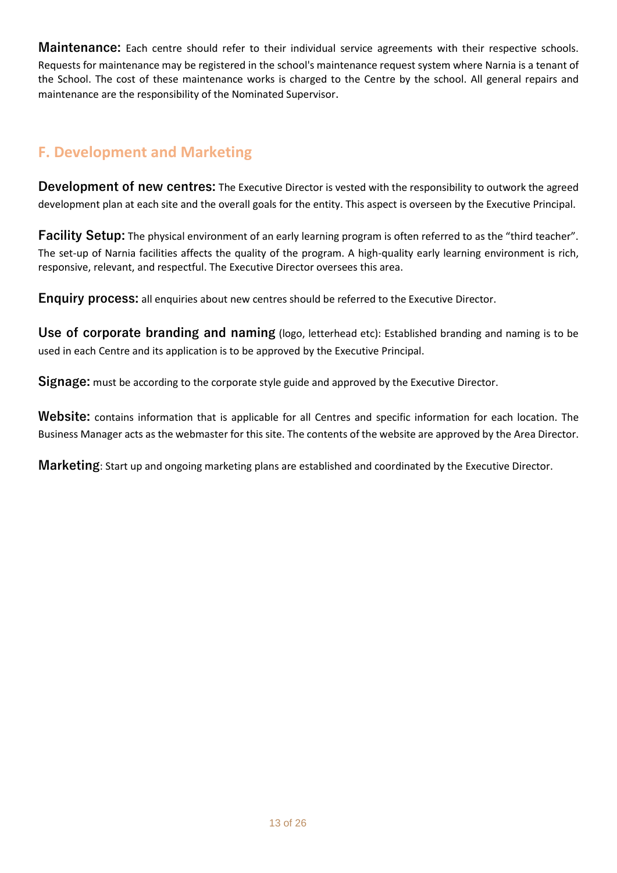<span id="page-12-0"></span>**Maintenance:** Each centre should refer to their individual service agreements with their respective schools. Requests for maintenance may be registered in the school's maintenance request system where Narnia is a tenant of the School. The cost of these maintenance works is charged to the Centre by the school. All general repairs and maintenance are the responsibility of the Nominated Supervisor.

# <span id="page-12-1"></span>**F. Development and Marketing**

<span id="page-12-2"></span>**Development of new centres:** The Executive Director is vested with the responsibility to outwork the agreed development plan at each site and the overall goals for the entity. This aspect is overseen by the Executive Principal.

<span id="page-12-3"></span>**Facility Setup:** The physical environment of an early learning program is often referred to as the "third teacher". The set-up of Narnia facilities affects the quality of the program. A high-quality early learning environment is rich, responsive, relevant, and respectful. The Executive Director oversees this area.

<span id="page-12-4"></span>**Enquiry process:** all enquiries about new centres should be referred to the Executive Director.

<span id="page-12-5"></span>**Use of corporate branding and naming** (logo, letterhead etc): Established branding and naming is to be used in each Centre and its application is to be approved by the Executive Principal.

<span id="page-12-6"></span>**Signage:** must be according to the corporate style guide and approved by the Executive Director.

<span id="page-12-7"></span>**Website:** contains information that is applicable for all Centres and specific information for each location. The Business Manager acts as the webmaster for this site. The contents of the website are approved by the Area Director.

<span id="page-12-8"></span>**Marketing**: Start up and ongoing marketing plans are established and coordinated by the Executive Director.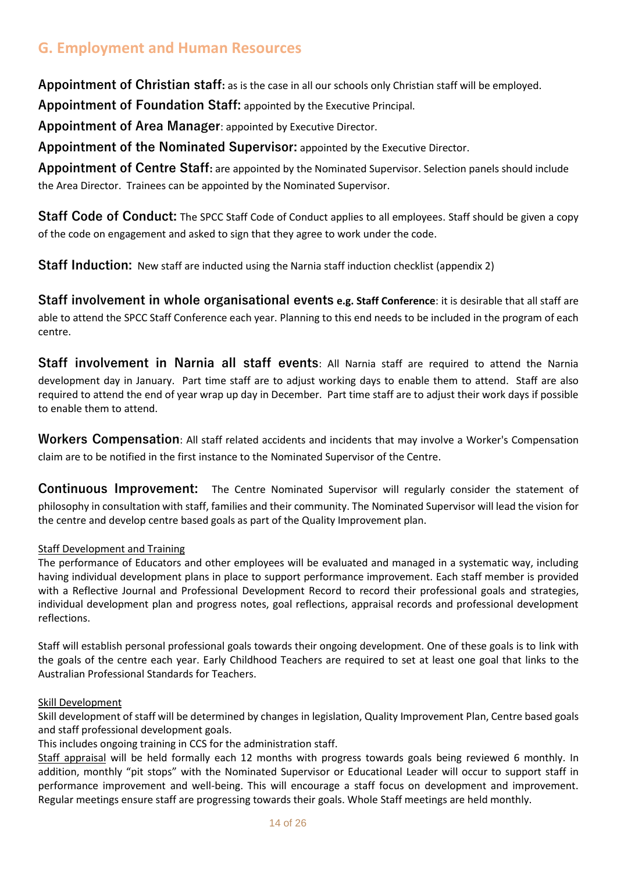# <span id="page-13-0"></span>**G. Employment and Human Resources**

<span id="page-13-1"></span>**Appointment of Christian staff:** as is the case in all our schools only Christian staff will be employed.

<span id="page-13-2"></span>**Appointment of Foundation Staff:** appointed by the Executive Principal.

<span id="page-13-3"></span>**Appointment of Area Manager**: appointed by Executive Director.

<span id="page-13-4"></span>**Appointment of the Nominated Supervisor:** appointed by the Executive Director.

<span id="page-13-5"></span>**Appointment of Centre Staff:** are appointed by the Nominated Supervisor. Selection panels should include the Area Director. Trainees can be appointed by the Nominated Supervisor.

<span id="page-13-6"></span>**Staff Code of Conduct:** The SPCC Staff Code of Conduct applies to all employees. Staff should be given a copy of the code on engagement and asked to sign that they agree to work under the code.

<span id="page-13-7"></span>**Staff Induction:** New staff are inducted using the Narnia staff induction checklist (appendix 2)

<span id="page-13-8"></span>**Staff involvement in whole organisational events e.g. Staff Conference**: it is desirable that all staff are able to attend the SPCC Staff Conference each year. Planning to this end needs to be included in the program of each centre.

<span id="page-13-9"></span>**Staff involvement in Narnia all staff events**: All Narnia staff are required to attend the Narnia development day in January. Part time staff are to adjust working days to enable them to attend. Staff are also required to attend the end of year wrap up day in December. Part time staff are to adjust their work days if possible to enable them to attend.

<span id="page-13-10"></span>**Workers Compensation**: All staff related accidents and incidents that may involve a Worker's Compensation claim are to be notified in the first instance to the Nominated Supervisor of the Centre.

<span id="page-13-11"></span>**Continuous Improvement:** The Centre Nominated Supervisor will regularly consider the statement of philosophy in consultation with staff, families and their community. The Nominated Supervisor will lead the vision for the centre and develop centre based goals as part of the Quality Improvement plan.

#### Staff Development and Training

The performance of Educators and other employees will be evaluated and managed in a systematic way, including having individual development plans in place to support performance improvement. Each staff member is provided with a Reflective Journal and Professional Development Record to record their professional goals and strategies, individual development plan and progress notes, goal reflections, appraisal records and professional development reflections.

Staff will establish personal professional goals towards their ongoing development. One of these goals is to link with the goals of the centre each year. Early Childhood Teachers are required to set at least one goal that links to the Australian Professional Standards for Teachers.

#### Skill Development

Skill development of staff will be determined by changes in legislation, Quality Improvement Plan, Centre based goals and staff professional development goals.

This includes ongoing training in CCS for the administration staff.

Staff appraisal will be held formally each 12 months with progress towards goals being reviewed 6 monthly. In addition, monthly "pit stops" with the Nominated Supervisor or Educational Leader will occur to support staff in performance improvement and well-being. This will encourage a staff focus on development and improvement. Regular meetings ensure staff are progressing towards their goals. Whole Staff meetings are held monthly.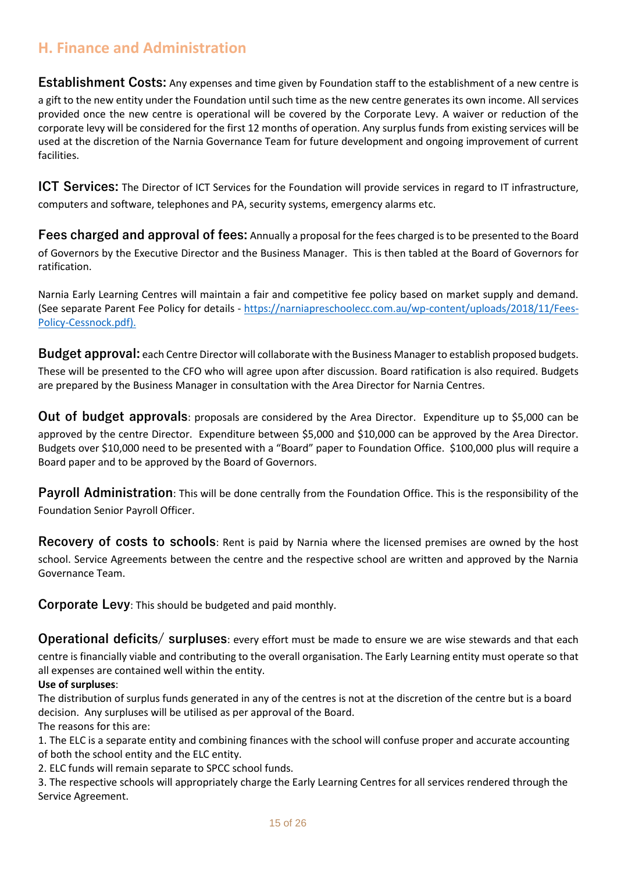### <span id="page-14-0"></span>**H. Finance and Administration**

<span id="page-14-1"></span>**Establishment Costs:** Any expenses and time given by Foundation staff to the establishment of a new centre is a gift to the new entity under the Foundation until such time as the new centre generates its own income. All services provided once the new centre is operational will be covered by the Corporate Levy. A waiver or reduction of the corporate levy will be considered for the first 12 months of operation. Any surplus funds from existing services will be used at the discretion of the Narnia Governance Team for future development and ongoing improvement of current facilities.

<span id="page-14-2"></span>**ICT Services:** The Director of ICT Services for the Foundation will provide services in regard to IT infrastructure, computers and software, telephones and PA, security systems, emergency alarms etc.

<span id="page-14-3"></span>**Fees charged and approval of fees:** Annually a proposal for the fees charged is to be presented to the Board of Governors by the Executive Director and the Business Manager. This is then tabled at the Board of Governors for ratification.

Narnia Early Learning Centres will maintain a fair and competitive fee policy based on market supply and demand. (See separate Parent Fee Policy for details - [https://narniapreschoolecc.com.au/wp-content/uploads/2018/11/Fees-](https://narniapreschoolecc.com.au/wp-content/uploads/2021/06/Fees-Policy-Gosford.pdf)[Policy-Cessnock.pdf\).](https://narniapreschoolecc.com.au/wp-content/uploads/2021/06/Fees-Policy-Gosford.pdf)

<span id="page-14-4"></span>**Budget approval:** each Centre Director will collaborate with the Business Manager to establish proposed budgets. These will be presented to the CFO who will agree upon after discussion. Board ratification is also required. Budgets are prepared by the Business Manager in consultation with the Area Director for Narnia Centres.

<span id="page-14-5"></span>**Out of budget approvals**: proposals are considered by the Area Director. Expenditure up to \$5,000 can be approved by the centre Director. Expenditure between \$5,000 and \$10,000 can be approved by the Area Director. Budgets over \$10,000 need to be presented with a "Board" paper to Foundation Office. \$100,000 plus will require a Board paper and to be approved by the Board of Governors.

<span id="page-14-6"></span>**Payroll Administration**: This will be done centrally from the Foundation Office. This is the responsibility of the Foundation Senior Payroll Officer.

<span id="page-14-7"></span>**Recovery of costs to schools**: Rent is paid by Narnia where the licensed premises are owned by the host school. Service Agreements between the centre and the respective school are written and approved by the Narnia Governance Team.

<span id="page-14-8"></span>**Corporate Levy**: This should be budgeted and paid monthly.

<span id="page-14-9"></span>**Operational deficits/ surpluses**: every effort must be made to ensure we are wise stewards and that each centre is financially viable and contributing to the overall organisation. The Early Learning entity must operate so that all expenses are contained well within the entity.

### **Use of surpluses**:

The distribution of surplus funds generated in any of the centres is not at the discretion of the centre but is a board decision. Any surpluses will be utilised as per approval of the Board. The reasons for this are:

1. The ELC is a separate entity and combining finances with the school will confuse proper and accurate accounting of both the school entity and the ELC entity.

2. ELC funds will remain separate to SPCC school funds.

3. The respective schools will appropriately charge the Early Learning Centres for all services rendered through the Service Agreement.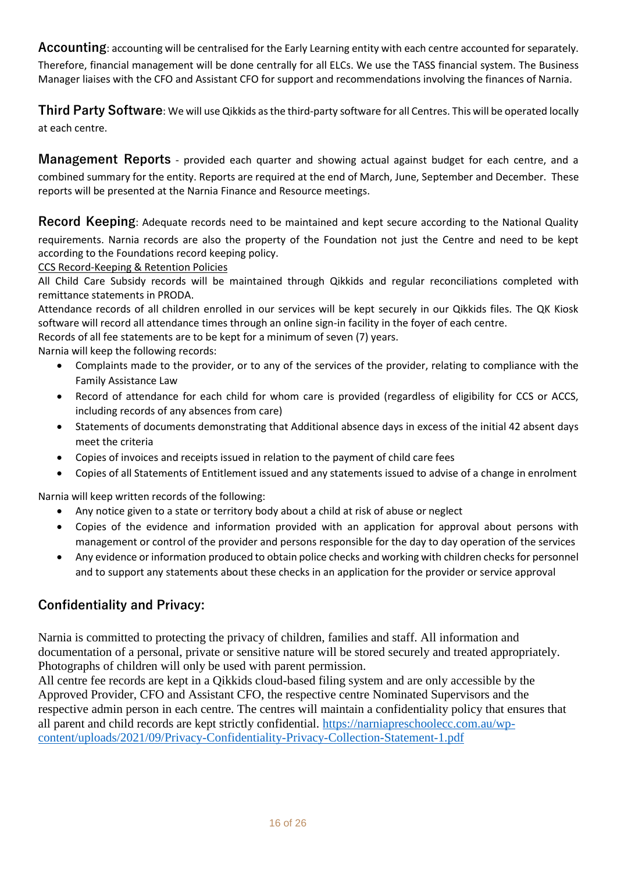<span id="page-15-0"></span>**Accounting**: accounting will be centralised for the Early Learning entity with each centre accounted for separately. Therefore, financial management will be done centrally for all ELCs. We use the TASS financial system. The Business Manager liaises with the CFO and Assistant CFO for support and recommendations involving the finances of Narnia.

<span id="page-15-1"></span>**Third Party Software**: We will use Qikkids as the third-party software for all Centres. This will be operated locally at each centre.

<span id="page-15-2"></span>**Management Reports** - provided each quarter and showing actual against budget for each centre, and a combined summary for the entity. Reports are required at the end of March, June, September and December. These reports will be presented at the Narnia Finance and Resource meetings.

<span id="page-15-3"></span>**Record Keeping**: Adequate records need to be maintained and kept secure according to the National Quality requirements. Narnia records are also the property of the Foundation not just the Centre and need to be kept according to the Foundations record keeping policy.

CCS Record-Keeping & Retention Policies

All Child Care Subsidy records will be maintained through Qikkids and regular reconciliations completed with remittance statements in PRODA.

Attendance records of all children enrolled in our services will be kept securely in our Qikkids files. The QK Kiosk software will record all attendance times through an online sign-in facility in the foyer of each centre.

Records of all fee statements are to be kept for a minimum of seven (7) years.

Narnia will keep the following records:

- Complaints made to the provider, or to any of the services of the provider, relating to compliance with the Family Assistance Law
- Record of attendance for each child for whom care is provided (regardless of eligibility for CCS or ACCS, including records of any absences from care)
- Statements of documents demonstrating that Additional absence days in excess of the initial 42 absent days meet the criteria
- Copies of invoices and receipts issued in relation to the payment of child care fees
- Copies of all Statements of Entitlement issued and any statements issued to advise of a change in enrolment

Narnia will keep written records of the following:

- Any notice given to a state or territory body about a child at risk of abuse or neglect
- Copies of the evidence and information provided with an application for approval about persons with management or control of the provider and persons responsible for the day to day operation of the services
- Any evidence or information produced to obtain police checks and working with children checks for personnel and to support any statements about these checks in an application for the provider or service approval

### <span id="page-15-4"></span>**Confidentiality and Privacy:**

Narnia is committed to protecting the privacy of children, families and staff. All information and documentation of a personal, private or sensitive nature will be stored securely and treated appropriately. Photographs of children will only be used with parent permission.

All centre fee records are kept in a Qikkids cloud-based filing system and are only accessible by the Approved Provider, CFO and Assistant CFO, the respective centre Nominated Supervisors and the respective admin person in each centre. The centres will maintain a confidentiality policy that ensures that all parent and child records are kept strictly confidential. [https://narniapreschoolecc.com.au/wp](https://narniapreschoolecc.com.au/wp-content/uploads/2021/09/Privacy-Confidentiality-Privacy-Collection-Statement-1.pdf)[content/uploads/2021/09/Privacy-Confidentiality-Privacy-Collection-Statement-1.pdf](https://narniapreschoolecc.com.au/wp-content/uploads/2021/09/Privacy-Confidentiality-Privacy-Collection-Statement-1.pdf)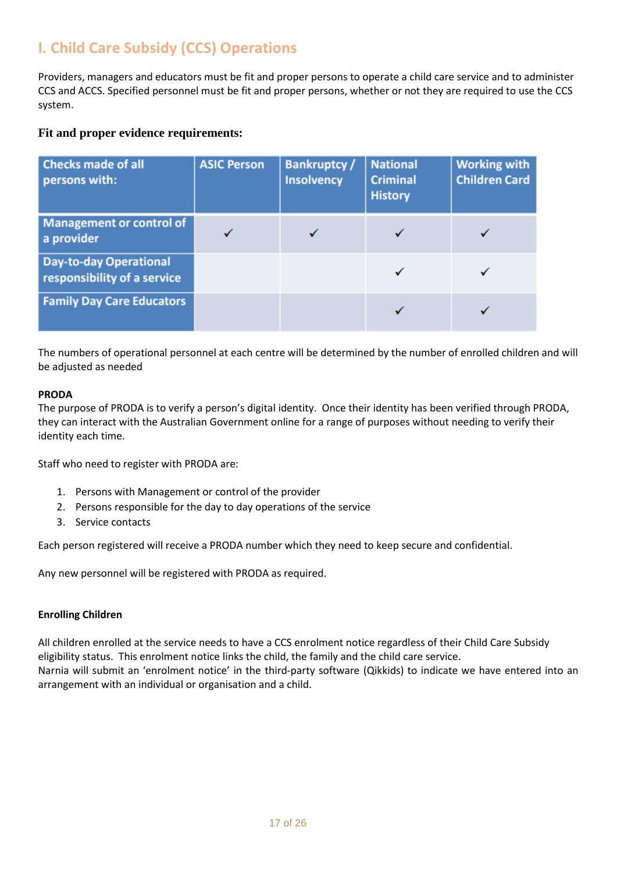# <span id="page-16-0"></span>**I. Child Care Subsidy (CCS) Operations**

Providers, managers and educators must be fit and proper persons to operate a child care service and to administer CCS and ACCS. Specified personnel must be fit and proper persons, whether or not they are required to use the CCS system.

### **Fit and proper evidence requirements:**

| <b>Checks made of all</b><br>persons with:                   | <b>ASIC Person</b> | <b>Bankruptcy/</b><br><b>Insolvency</b> | <b>National</b><br><b>Criminal</b><br><b>History</b> | <b>Working with</b><br><b>Children Card</b> |
|--------------------------------------------------------------|--------------------|-----------------------------------------|------------------------------------------------------|---------------------------------------------|
| Management or control of<br>a provider                       |                    |                                         |                                                      |                                             |
| <b>Day-to-day Operational</b><br>responsibility of a service |                    |                                         |                                                      |                                             |
| <b>Family Day Care Educators</b>                             |                    |                                         |                                                      |                                             |

The numbers of operational personnel at each centre will be determined by the number of enrolled children and will be adjusted as needed

#### **PRODA**

The purpose of PRODA is to verify a person's digital identity. Once their identity has been verified through PRODA, they can interact with the Australian Government online for a range of purposes without needing to verify their identity each time.

Staff who need to register with PRODA are:

- 1. Persons with Management or control of the provider
- 2. Persons responsible for the day to day operations of the service
- 3. Service contacts

Each person registered will receive a PRODA number which they need to keep secure and confidential.

Any new personnel will be registered with PRODA as required.

#### **Enrolling Children**

All children enrolled at the service needs to have a CCS enrolment notice regardless of their Child Care Subsidy eligibility status. This enrolment notice links the child, the family and the child care service. Narnia will submit an 'enrolment notice' in the third-party software (Qikkids) to indicate we have entered into an arrangement with an individual or organisation and a child.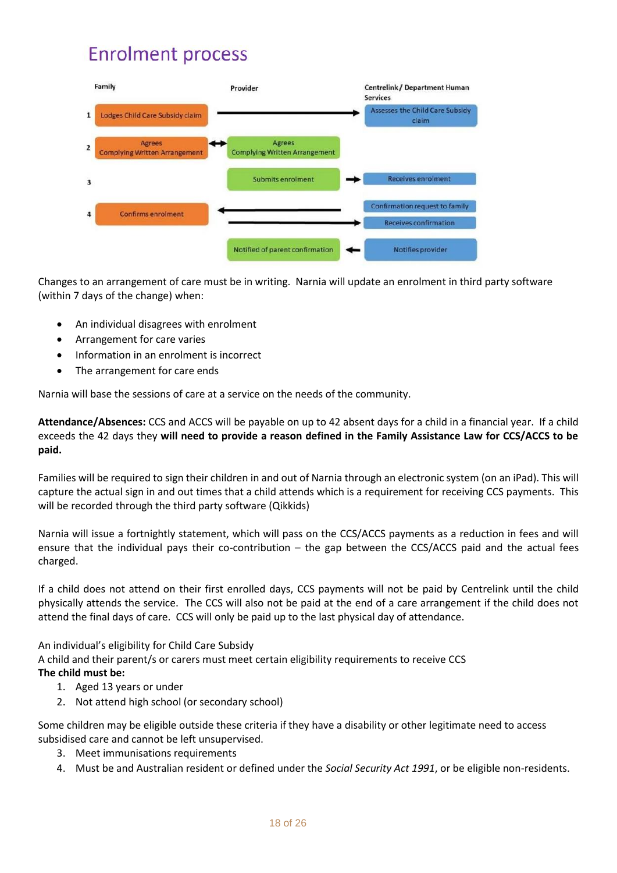# **Enrolment process**



Changes to an arrangement of care must be in writing. Narnia will update an enrolment in third party software (within 7 days of the change) when:

- An individual disagrees with enrolment
- Arrangement for care varies
- Information in an enrolment is incorrect
- The arrangement for care ends

Narnia will base the sessions of care at a service on the needs of the community.

**Attendance/Absences:** CCS and ACCS will be payable on up to 42 absent days for a child in a financial year. If a child exceeds the 42 days they **will need to provide a reason defined in the Family Assistance Law for CCS/ACCS to be paid.**

Families will be required to sign their children in and out of Narnia through an electronic system (on an iPad). This will capture the actual sign in and out times that a child attends which is a requirement for receiving CCS payments. This will be recorded through the third party software (Qikkids)

Narnia will issue a fortnightly statement, which will pass on the CCS/ACCS payments as a reduction in fees and will ensure that the individual pays their co-contribution – the gap between the CCS/ACCS paid and the actual fees charged.

If a child does not attend on their first enrolled days, CCS payments will not be paid by Centrelink until the child physically attends the service. The CCS will also not be paid at the end of a care arrangement if the child does not attend the final days of care. CCS will only be paid up to the last physical day of attendance.

An individual's eligibility for Child Care Subsidy

A child and their parent/s or carers must meet certain eligibility requirements to receive CCS **The child must be:**

- 1. Aged 13 years or under
- 2. Not attend high school (or secondary school)

Some children may be eligible outside these criteria if they have a disability or other legitimate need to access subsidised care and cannot be left unsupervised.

- 3. Meet immunisations requirements
- 4. Must be and Australian resident or defined under the *Social Security Act 1991*, or be eligible non-residents.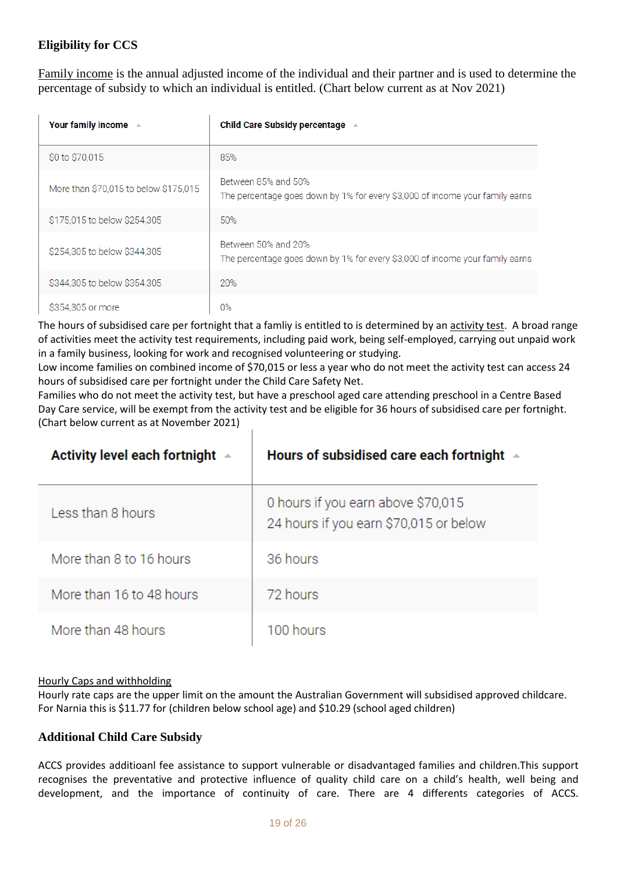### **Eligibility for CCS**

Family income is the annual adjusted income of the individual and their partner and is used to determine the percentage of subsidy to which an individual is entitled. (Chart below current as at Nov 2021)

| Your family income $\rightarrow$      | Child Care Subsidy percentage $\rightarrow$                                                         |
|---------------------------------------|-----------------------------------------------------------------------------------------------------|
| \$0 to \$70,015                       | 85%                                                                                                 |
| More than \$70,015 to below \$175,015 | Between 85% and 50%<br>The percentage goes down by 1% for every \$3,000 of income your family earns |
| \$175,015 to below \$254,305          | 50%                                                                                                 |
| \$254,305 to below \$344,305          | Between 50% and 20%<br>The percentage goes down by 1% for every \$3,000 of income your family earns |
| \$344,305 to below \$354,305          | 20%                                                                                                 |
| \$354,305 or more                     | $0\%$                                                                                               |

The hours of subsidised care per fortnight that a famliy is entitled to is determined by an activity test. A broad range of activities meet the activity test requirements, including paid work, being self-employed, carrying out unpaid work in a family business, looking for work and recognised volunteering or studying.

Low income families on combined income of \$70,015 or less a year who do not meet the activity test can access 24 hours of subsidised care per fortnight under the Child Care Safety Net.

Families who do not meet the activity test, but have a preschool aged care attending preschool in a Centre Based Day Care service, will be exempt from the activity test and be eligible for 36 hours of subsidised care per fortnight. (Chart below current as at November 2021)

| Activity level each fortnight $\rightarrow$ | Hours of subsidised care each fortnight                                      |
|---------------------------------------------|------------------------------------------------------------------------------|
| Less than 8 hours                           | 0 hours if you earn above \$70,015<br>24 hours if you earn \$70,015 or below |
| More than 8 to 16 hours                     | 36 hours                                                                     |
| More than 16 to 48 hours                    | 72 hours                                                                     |
| More than 48 hours                          | 100 hours                                                                    |

#### Hourly Caps and withholding

Hourly rate caps are the upper limit on the amount the Australian Government will subsidised approved childcare. For Narnia this is \$11.77 for (children below school age) and \$10.29 (school aged children)

### **Additional Child Care Subsidy**

ACCS provides additioanl fee assistance to support vulnerable or disadvantaged families and children.This support recognises the preventative and protective influence of quality child care on a child's health, well being and development, and the importance of continuity of care. There are 4 differents categories of ACCS.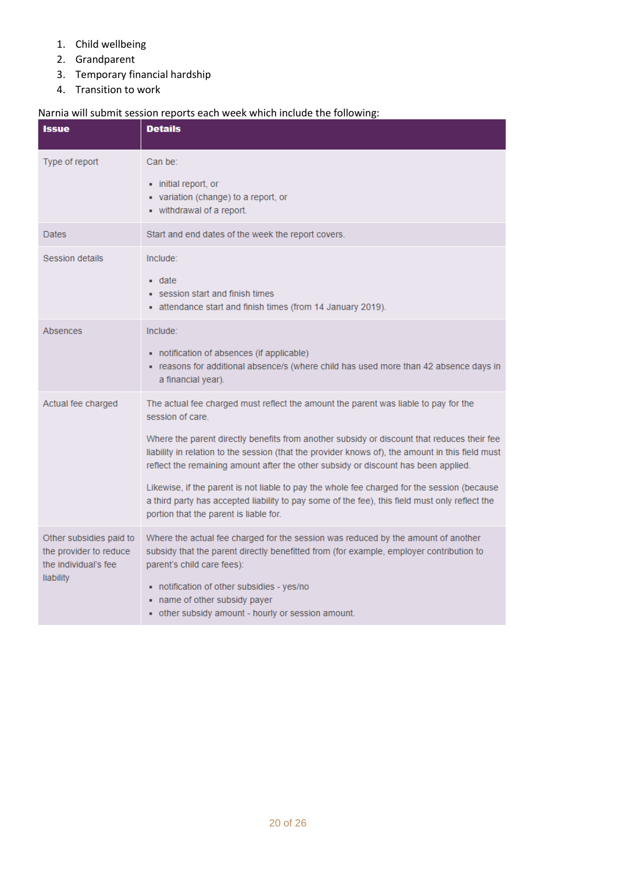- 1. Child wellbeing
- 2. Grandparent
- 3. Temporary financial hardship
- 4. Transition to work

### Narnia will submit session reports each week which include the following:

| <b>Issue</b>                                                                           | <b>Details</b>                                                                                                                                                                                                                                                                                                                                                                                                                                                                                                                                                                                                                             |
|----------------------------------------------------------------------------------------|--------------------------------------------------------------------------------------------------------------------------------------------------------------------------------------------------------------------------------------------------------------------------------------------------------------------------------------------------------------------------------------------------------------------------------------------------------------------------------------------------------------------------------------------------------------------------------------------------------------------------------------------|
| Type of report                                                                         | Can be:<br>• initial report, or<br>variation (change) to a report, or<br>- withdrawal of a report.                                                                                                                                                                                                                                                                                                                                                                                                                                                                                                                                         |
| Dates                                                                                  | Start and end dates of the week the report covers.                                                                                                                                                                                                                                                                                                                                                                                                                                                                                                                                                                                         |
| <b>Session details</b>                                                                 | Include:<br>$\blacksquare$ date<br>session start and finish times<br>attendance start and finish times (from 14 January 2019).                                                                                                                                                                                                                                                                                                                                                                                                                                                                                                             |
| Absences                                                                               | Include:<br>notification of absences (if applicable)<br>- reasons for additional absence/s (where child has used more than 42 absence days in<br>a financial year).                                                                                                                                                                                                                                                                                                                                                                                                                                                                        |
| Actual fee charged                                                                     | The actual fee charged must reflect the amount the parent was liable to pay for the<br>session of care.<br>Where the parent directly benefits from another subsidy or discount that reduces their fee<br>liability in relation to the session (that the provider knows of), the amount in this field must<br>reflect the remaining amount after the other subsidy or discount has been applied.<br>Likewise, if the parent is not liable to pay the whole fee charged for the session (because<br>a third party has accepted liability to pay some of the fee), this field must only reflect the<br>portion that the parent is liable for. |
| Other subsidies paid to<br>the provider to reduce<br>the individual's fee<br>liability | Where the actual fee charged for the session was reduced by the amount of another<br>subsidy that the parent directly benefitted from (for example, employer contribution to<br>parent's child care fees):<br>notification of other subsidies - yes/no<br>- name of other subsidy payer<br>- other subsidy amount - hourly or session amount.                                                                                                                                                                                                                                                                                              |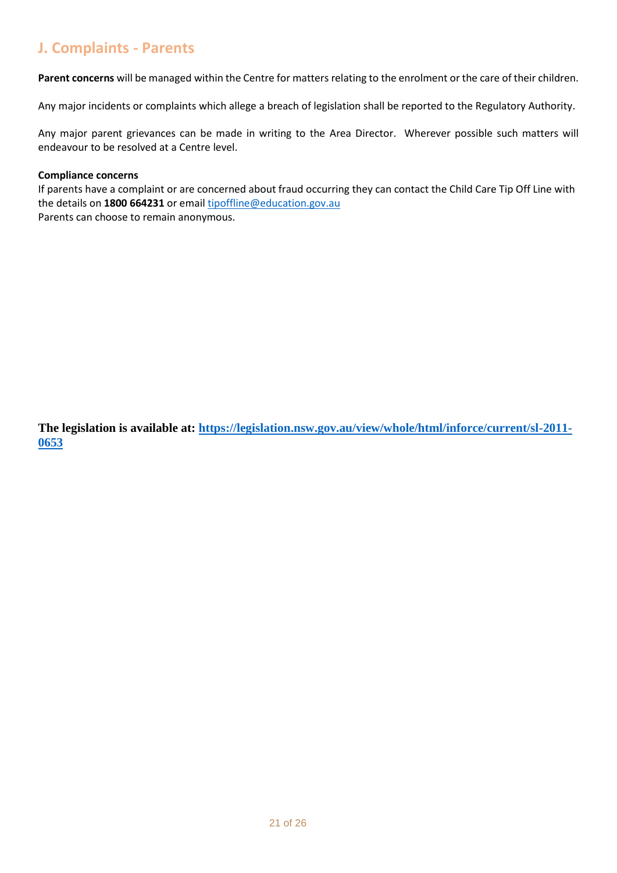# <span id="page-20-0"></span>**J. Complaints - Parents**

**Parent concerns** will be managed within the Centre for matters relating to the enrolment or the care of their children.

Any major incidents or complaints which allege a breach of legislation shall be reported to the Regulatory Authority.

Any major parent grievances can be made in writing to the Area Director. Wherever possible such matters will endeavour to be resolved at a Centre level.

#### **Compliance concerns**

If parents have a complaint or are concerned about fraud occurring they can contact the Child Care Tip Off Line with the details on **1800 664231** or emai[l tipoffline@education.gov.au](mailto:tipoffline@education.gov.au) Parents can choose to remain anonymous.

**The legislation is available at: [https://legislation.nsw.gov.au/view/whole/html/inforce/current/sl-2011-](https://legislation.nsw.gov.au/view/whole/html/inforce/current/sl-2011-0653) [0653](https://legislation.nsw.gov.au/view/whole/html/inforce/current/sl-2011-0653)**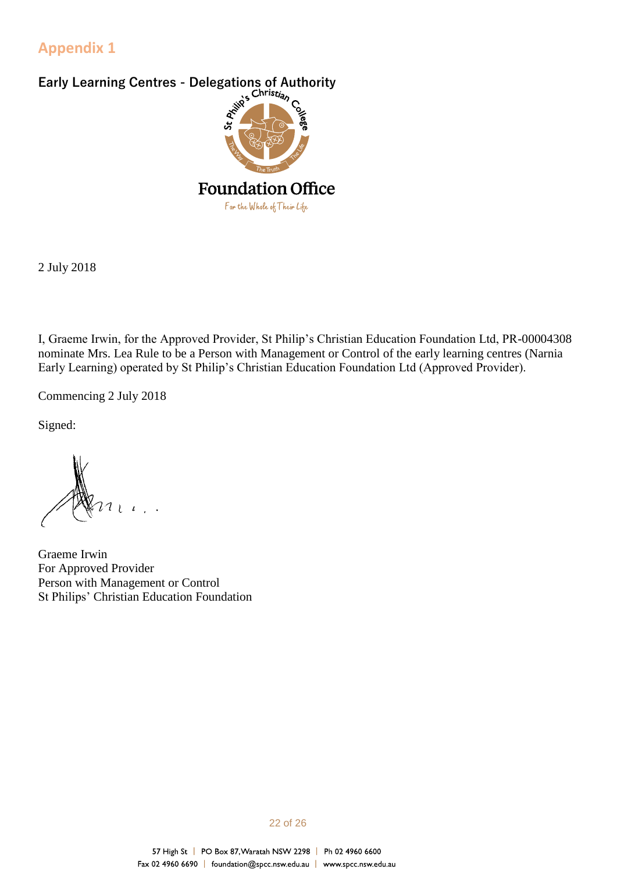### <span id="page-21-0"></span>**Appendix 1**

<span id="page-21-1"></span>

2 July 2018

I, Graeme Irwin, for the Approved Provider, St Philip's Christian Education Foundation Ltd, PR-00004308 nominate Mrs. Lea Rule to be a Person with Management or Control of the early learning centres (Narnia Early Learning) operated by St Philip's Christian Education Foundation Ltd (Approved Provider).

Commencing 2 July 2018

Signed:

Graeme Irwin For Approved Provider Person with Management or Control St Philips' Christian Education Foundation

#### 22 of 26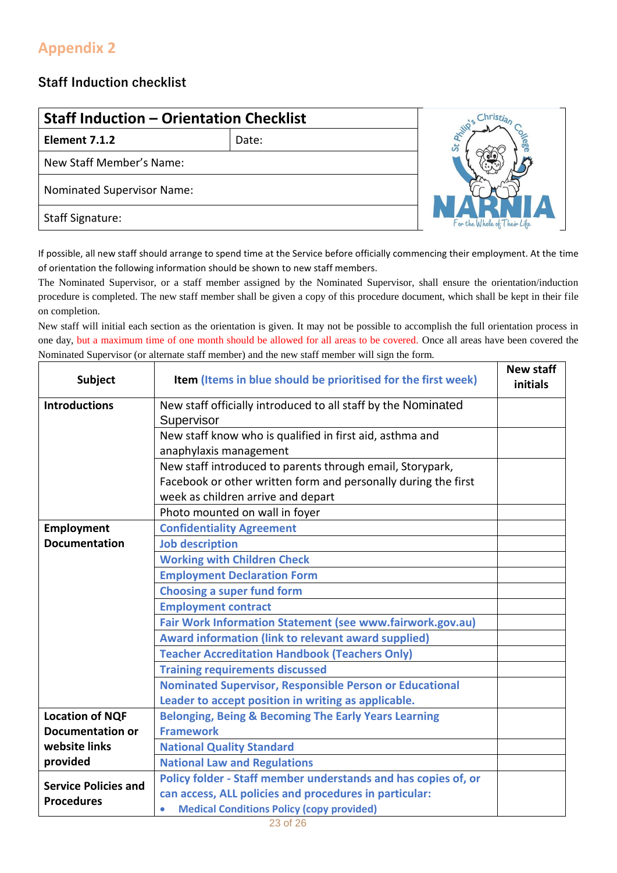# <span id="page-22-0"></span>**Appendix 2**

### <span id="page-22-1"></span>**Staff Induction checklist**

| <b>Staff Induction - Orientation Checklist</b> |       |                             |
|------------------------------------------------|-------|-----------------------------|
| Element 7.1.2                                  | Date: | 5t                          |
| New Staff Member's Name:                       |       |                             |
| <b>Nominated Supervisor Name:</b>              |       |                             |
| <b>Staff Signature:</b>                        |       | For the Whole of Their Like |

If possible, all new staff should arrange to spend time at the Service before officially commencing their employment. At the time of orientation the following information should be shown to new staff members.

The Nominated Supervisor, or a staff member assigned by the Nominated Supervisor, shall ensure the orientation/induction procedure is completed. The new staff member shall be given a copy of this procedure document, which shall be kept in their file on completion.

New staff will initial each section as the orientation is given. It may not be possible to accomplish the full orientation process in one day, but a maximum time of one month should be allowed for all areas to be covered. Once all areas have been covered the Nominated Supervisor (or alternate staff member) and the new staff member will sign the form.

| <b>Subject</b>              | Item (Items in blue should be prioritised for the first week)  | <b>New staff</b><br>initials |
|-----------------------------|----------------------------------------------------------------|------------------------------|
| <b>Introductions</b>        | New staff officially introduced to all staff by the Nominated  |                              |
|                             | Supervisor                                                     |                              |
|                             | New staff know who is qualified in first aid, asthma and       |                              |
|                             | anaphylaxis management                                         |                              |
|                             | New staff introduced to parents through email, Storypark,      |                              |
|                             | Facebook or other written form and personally during the first |                              |
|                             | week as children arrive and depart                             |                              |
|                             | Photo mounted on wall in foyer                                 |                              |
| Employment                  | <b>Confidentiality Agreement</b>                               |                              |
| <b>Documentation</b>        | <b>Job description</b>                                         |                              |
|                             | <b>Working with Children Check</b>                             |                              |
|                             | <b>Employment Declaration Form</b>                             |                              |
|                             | <b>Choosing a super fund form</b>                              |                              |
|                             | <b>Employment contract</b>                                     |                              |
|                             | Fair Work Information Statement (see www.fairwork.gov.au)      |                              |
|                             | Award information (link to relevant award supplied)            |                              |
|                             | <b>Teacher Accreditation Handbook (Teachers Only)</b>          |                              |
|                             | <b>Training requirements discussed</b>                         |                              |
|                             | Nominated Supervisor, Responsible Person or Educational        |                              |
|                             | Leader to accept position in writing as applicable.            |                              |
| <b>Location of NQF</b>      | Belonging, Being & Becoming The Early Years Learning           |                              |
| <b>Documentation or</b>     | <b>Framework</b>                                               |                              |
| website links               | <b>National Quality Standard</b>                               |                              |
| provided                    | <b>National Law and Regulations</b>                            |                              |
| <b>Service Policies and</b> | Policy folder - Staff member understands and has copies of, or |                              |
| <b>Procedures</b>           | can access, ALL policies and procedures in particular:         |                              |
|                             | <b>Medical Conditions Policy (copy provided)</b><br>$\bullet$  |                              |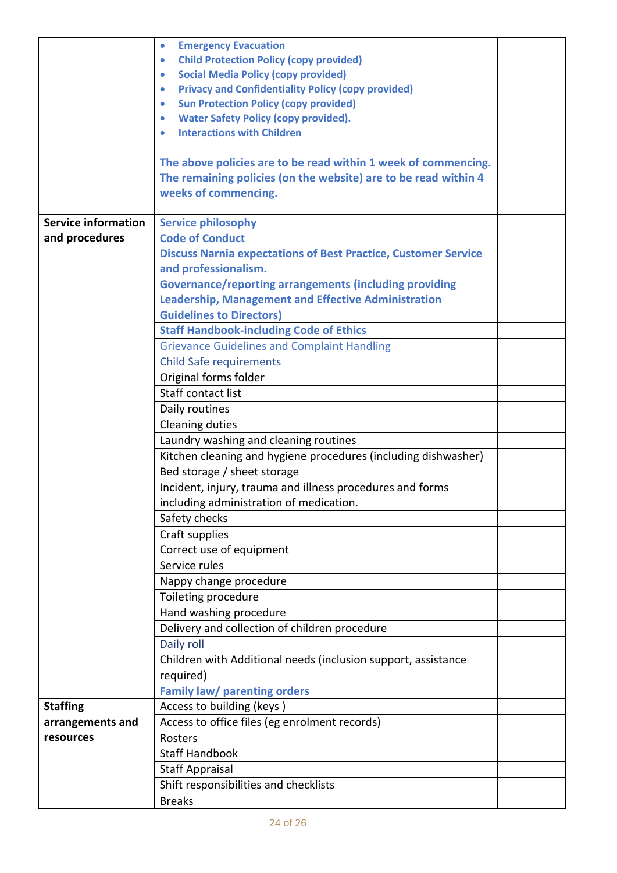|                            | <b>Emergency Evacuation</b><br>$\bullet$                               |  |
|----------------------------|------------------------------------------------------------------------|--|
|                            | <b>Child Protection Policy (copy provided)</b><br>$\bullet$            |  |
|                            | <b>Social Media Policy (copy provided)</b><br>$\bullet$                |  |
|                            | <b>Privacy and Confidentiality Policy (copy provided)</b><br>$\bullet$ |  |
|                            | <b>Sun Protection Policy (copy provided)</b><br>$\bullet$              |  |
|                            | <b>Water Safety Policy (copy provided).</b><br>$\bullet$               |  |
|                            | <b>Interactions with Children</b><br>$\bullet$                         |  |
|                            | The above policies are to be read within 1 week of commencing.         |  |
|                            | The remaining policies (on the website) are to be read within 4        |  |
|                            | weeks of commencing.                                                   |  |
| <b>Service information</b> | <b>Service philosophy</b>                                              |  |
| and procedures             | <b>Code of Conduct</b>                                                 |  |
|                            | <b>Discuss Narnia expectations of Best Practice, Customer Service</b>  |  |
|                            | and professionalism.                                                   |  |
|                            | <b>Governance/reporting arrangements (including providing</b>          |  |
|                            | <b>Leadership, Management and Effective Administration</b>             |  |
|                            | <b>Guidelines to Directors)</b>                                        |  |
|                            | <b>Staff Handbook-including Code of Ethics</b>                         |  |
|                            | <b>Grievance Guidelines and Complaint Handling</b>                     |  |
|                            | <b>Child Safe requirements</b>                                         |  |
|                            | Original forms folder                                                  |  |
|                            | Staff contact list                                                     |  |
|                            | Daily routines                                                         |  |
|                            | Cleaning duties                                                        |  |
|                            | Laundry washing and cleaning routines                                  |  |
|                            | Kitchen cleaning and hygiene procedures (including dishwasher)         |  |
|                            | Bed storage / sheet storage                                            |  |
|                            | Incident, injury, trauma and illness procedures and forms              |  |
|                            | including administration of medication.                                |  |
|                            | Safety checks                                                          |  |
|                            | Craft supplies                                                         |  |
|                            | Correct use of equipment                                               |  |
|                            | Service rules                                                          |  |
|                            | Nappy change procedure                                                 |  |
|                            | Toileting procedure                                                    |  |
|                            | Hand washing procedure                                                 |  |
|                            | Delivery and collection of children procedure                          |  |
|                            | Daily roll                                                             |  |
|                            | Children with Additional needs (inclusion support, assistance          |  |
|                            | required)                                                              |  |
|                            | <b>Family law/ parenting orders</b>                                    |  |
| <b>Staffing</b>            | Access to building (keys)                                              |  |
| arrangements and           | Access to office files (eg enrolment records)                          |  |
| resources                  | Rosters                                                                |  |
|                            | <b>Staff Handbook</b>                                                  |  |
|                            | <b>Staff Appraisal</b>                                                 |  |
|                            | Shift responsibilities and checklists                                  |  |
|                            | <b>Breaks</b>                                                          |  |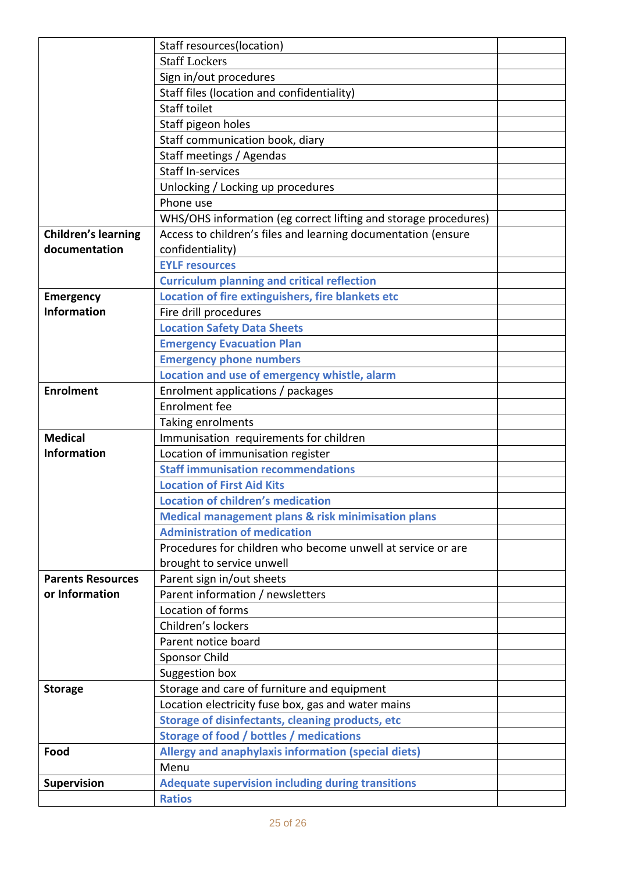|                            | Staff resources(location)                                                                          |  |
|----------------------------|----------------------------------------------------------------------------------------------------|--|
|                            | <b>Staff Lockers</b>                                                                               |  |
|                            | Sign in/out procedures                                                                             |  |
|                            | Staff files (location and confidentiality)                                                         |  |
|                            | <b>Staff toilet</b>                                                                                |  |
|                            | Staff pigeon holes                                                                                 |  |
|                            | Staff communication book, diary                                                                    |  |
|                            | Staff meetings / Agendas                                                                           |  |
|                            | <b>Staff In-services</b>                                                                           |  |
|                            | Unlocking / Locking up procedures                                                                  |  |
|                            | Phone use                                                                                          |  |
|                            | WHS/OHS information (eg correct lifting and storage procedures)                                    |  |
| <b>Children's learning</b> | Access to children's files and learning documentation (ensure                                      |  |
| documentation              | confidentiality)                                                                                   |  |
|                            | <b>EYLF resources</b>                                                                              |  |
|                            | <b>Curriculum planning and critical reflection</b>                                                 |  |
| <b>Emergency</b>           | Location of fire extinguishers, fire blankets etc                                                  |  |
| <b>Information</b>         | Fire drill procedures                                                                              |  |
|                            | <b>Location Safety Data Sheets</b>                                                                 |  |
|                            | <b>Emergency Evacuation Plan</b>                                                                   |  |
|                            | <b>Emergency phone numbers</b>                                                                     |  |
|                            | Location and use of emergency whistle, alarm                                                       |  |
| <b>Enrolment</b>           | Enrolment applications / packages                                                                  |  |
|                            | <b>Enrolment</b> fee                                                                               |  |
|                            | Taking enrolments                                                                                  |  |
| <b>Medical</b>             | Immunisation requirements for children                                                             |  |
| <b>Information</b>         | Location of immunisation register                                                                  |  |
|                            | <b>Staff immunisation recommendations</b>                                                          |  |
|                            | <b>Location of First Aid Kits</b>                                                                  |  |
|                            | Location of children's medication                                                                  |  |
|                            | <b>Medical management plans &amp; risk minimisation plans</b>                                      |  |
|                            | <b>Administration of medication</b><br>Procedures for children who become unwell at service or are |  |
|                            |                                                                                                    |  |
| <b>Parents Resources</b>   | brought to service unwell                                                                          |  |
| or Information             | Parent sign in/out sheets<br>Parent information / newsletters                                      |  |
|                            | Location of forms                                                                                  |  |
|                            | Children's lockers                                                                                 |  |
|                            | Parent notice board                                                                                |  |
|                            | <b>Sponsor Child</b>                                                                               |  |
|                            | Suggestion box                                                                                     |  |
| <b>Storage</b>             | Storage and care of furniture and equipment                                                        |  |
|                            | Location electricity fuse box, gas and water mains                                                 |  |
|                            | Storage of disinfectants, cleaning products, etc                                                   |  |
|                            | <b>Storage of food / bottles / medications</b>                                                     |  |
| Food                       | Allergy and anaphylaxis information (special diets)                                                |  |
|                            | Menu                                                                                               |  |
| Supervision                | <b>Adequate supervision including during transitions</b>                                           |  |
|                            | <b>Ratios</b>                                                                                      |  |